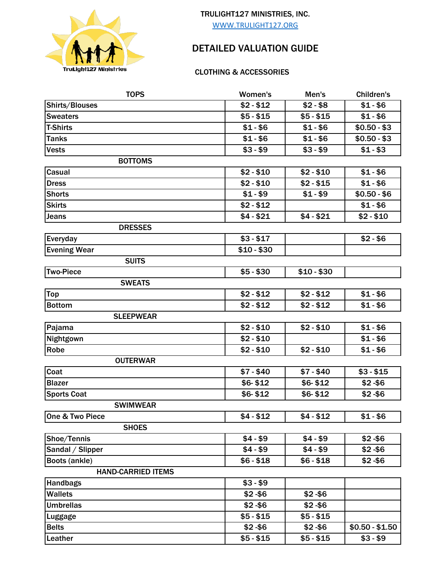

## TRULIGHT127 MINISTRIES, INC.

WWW.TRULIGHT127.ORG

## DETAILED VALUATION GUIDE

## CLOTHING & ACCESSORIES

| <b>TOPS</b>               | Women's     | Men's       | <b>Children's</b> |
|---------------------------|-------------|-------------|-------------------|
| Shirts/Blouses            | $$2 - $12$  | \$2 - \$8   | $$1 - $6$         |
| <b>Sweaters</b>           | $$5 - $15$  | $$5 - $15$  | $$1 - $6$         |
| <b>T-Shirts</b>           | $$1 - $6$   | $$1 - $6$   | $$0.50 - $3$      |
| <b>Tanks</b>              | $$1 - $6$   | $$1 - $6$   | $$0.50 - $3$      |
| <b>Vests</b>              | $$3 - $9$   | $$3 - $9$   | $$1 - $3$         |
| <b>BOTTOMS</b>            |             |             |                   |
| Casual                    | $$2 - $10$  | $$2 - $10$  | $$1 - $6$         |
| <b>Dress</b>              | $$2 - $10$  | \$2 - \$15  | $$1 - $6$         |
| <b>Shorts</b>             | $$1 - $9$   | $$1 - $9$   | $$0.50 - $6$      |
| <b>Skirts</b>             | $$2 - $12$  |             | $$1 - $6$         |
| <b>Jeans</b>              | $$4 - $21$  | $$4 - $21$  | $$2 - $10$        |
| <b>DRESSES</b>            |             |             |                   |
| Everyday                  | $$3 - $17$  |             | $$2 - $6$         |
| <b>Evening Wear</b>       | $$10 - $30$ |             |                   |
| <b>SUITS</b>              |             |             |                   |
| <b>Two-Piece</b>          | $$5 - $30$  | $$10 - $30$ |                   |
| <b>SWEATS</b>             |             |             |                   |
| <b>Top</b>                | $$2 - $12$  | $$2 - $12$  | $$1 - $6$         |
| <b>Bottom</b>             | $$2 - $12$  | $$2 - $12$  | $$1 - $6$         |
| <b>SLEEPWEAR</b>          |             |             |                   |
| Pajama                    | $$2 - $10$  | $$2 - $10$  | $$1 - $6$         |
| Nightgown                 | $$2 - $10$  |             | $$1 - $6$         |
| Robe                      | $$2 - $10$  | $$2 - $10$  | $$1 - $6$         |
| <b>OUTERWAR</b>           |             |             |                   |
| Coat                      | $$7 - $40$  | $$7 - $40$  | $$3 - $15$        |
| <b>Blazer</b>             | \$6-\$12    | \$6-\$12    | $$2 - $6$         |
| <b>Sports Coat</b>        | \$6-\$12    | $$6 - $12$  | $$2 - $6$         |
| <b>SWIMWEAR</b>           |             |             |                   |
| One & Two Piece           | $$4 - $12$  | \$4 - \$12  | \$1-\$6           |
| <b>SHOES</b>              |             |             |                   |
| Shoe/Tennis               | $$4 - $9$   | $$4 - $9$   | $$2 - $6$         |
| Sandal / Slipper          | $$4 - $9$   | \$4 - \$9   | $$2 - $6$         |
| Boots (ankle)             | $$6 - $18$  | $$6 - $18$  | $$2 - $6$         |
| <b>HAND-CARRIED ITEMS</b> |             |             |                   |
| <b>Handbags</b>           | $$3 - $9$   |             |                   |
| <b>Wallets</b>            | $$2 - $6$   | $$2 - $6$   |                   |
| <b>Umbrellas</b>          | $$2 - $6$   | $$2 - $6$   |                   |
| Luggage                   | $$5 - $15$  | $$5 - $15$  |                   |
| <b>Belts</b>              | $$2 - $6$   | $$2 - $6$   | $$0.50 - $1.50$   |
| Leather                   | $$5 - $15$  | $$5 - $15$  | $$3 - $9$         |